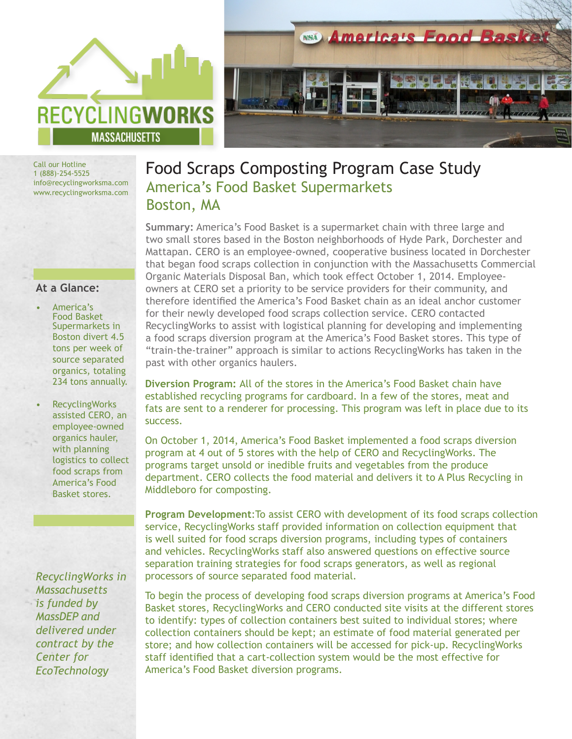



Call our Hotline 1 (888)-254-5525 info@recyclingworksma.com www.recyclingworksma.com

## **At a Glance:**

- America's Food Basket Supermarkets in Boston divert 4.5 tons per week of source separated organics, totaling 234 tons annually.
- RecyclingWorks assisted CERO, an employee-owned organics hauler, with planning logistics to collect food scraps from America's Food Basket stores.

*RecyclingWorks in Massachusetts is funded by MassDEP and delivered under contract by the Center for EcoTechnology* 

## Food Scraps Composting Program Case Study America's Food Basket Supermarkets Boston, MA

**Summary:** America's Food Basket is a supermarket chain with three large and two small stores based in the Boston neighborhoods of Hyde Park, Dorchester and Mattapan. CERO is an employee-owned, cooperative business located in Dorchester that began food scraps collection in conjunction with the Massachusetts Commercial Organic Materials Disposal Ban, which took effect October 1, 2014. Employeeowners at CERO set a priority to be service providers for their community, and therefore identified the America's Food Basket chain as an ideal anchor customer for their newly developed food scraps collection service. CERO contacted RecyclingWorks to assist with logistical planning for developing and implementing a food scraps diversion program at the America's Food Basket stores. This type of "train-the-trainer" approach is similar to actions RecyclingWorks has taken in the past with other organics haulers.

**Diversion Program:** All of the stores in the America's Food Basket chain have established recycling programs for cardboard. In a few of the stores, meat and fats are sent to a renderer for processing. This program was left in place due to its success.

On October 1, 2014, America's Food Basket implemented a food scraps diversion program at 4 out of 5 stores with the help of CERO and RecyclingWorks. The programs target unsold or inedible fruits and vegetables from the produce department. CERO collects the food material and delivers it to A Plus Recycling in Middleboro for composting.

**Program Development**:To assist CERO with development of its food scraps collection service, RecyclingWorks staff provided information on collection equipment that is well suited for food scraps diversion programs, including types of containers and vehicles. RecyclingWorks staff also answered questions on effective source separation training strategies for food scraps generators, as well as regional processors of source separated food material.

To begin the process of developing food scraps diversion programs at America's Food Basket stores, RecyclingWorks and CERO conducted site visits at the different stores to identify: types of collection containers best suited to individual stores; where collection containers should be kept; an estimate of food material generated per store; and how collection containers will be accessed for pick-up. RecyclingWorks staff identified that a cart-collection system would be the most effective for America's Food Basket diversion programs.